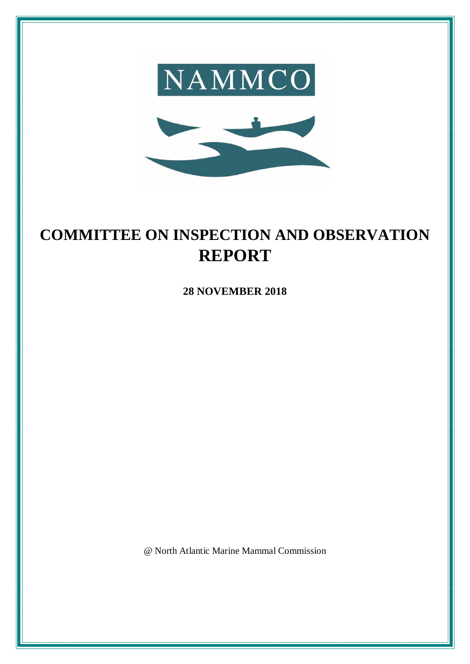



# **COMMITTEE ON INSPECTION AND OBSERVATION REPORT**

**28 NOVEMBER 2018**

@ North Atlantic Marine Mammal Commission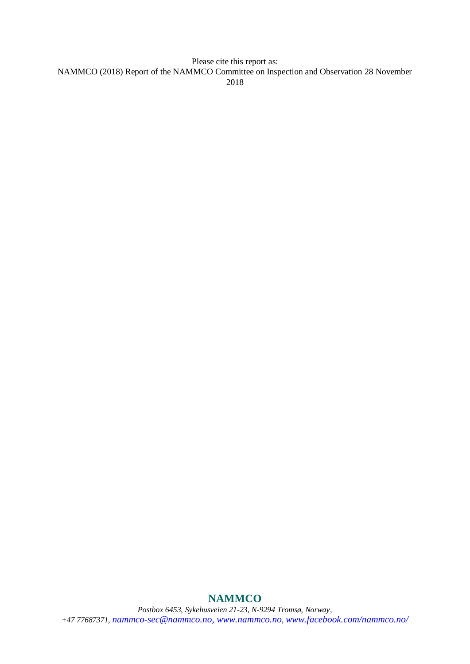Please cite this report as: NAMMCO (2018) Report of the NAMMCO Committee on Inspection and Observation 28 November 2018

# *Postbox 6453, Sykehusveien 21-23, N-9294 Tromsø, Norway, +47 77687371, [nammco-sec@nammco.no,](mailto:nammco-sec@nammco.no) [www.nammco.no](http://www.nammco.no/), [www.facebook.com/nammco.no/](http://www.facebook.com/nammco.no/)*

#### **NAMMCO**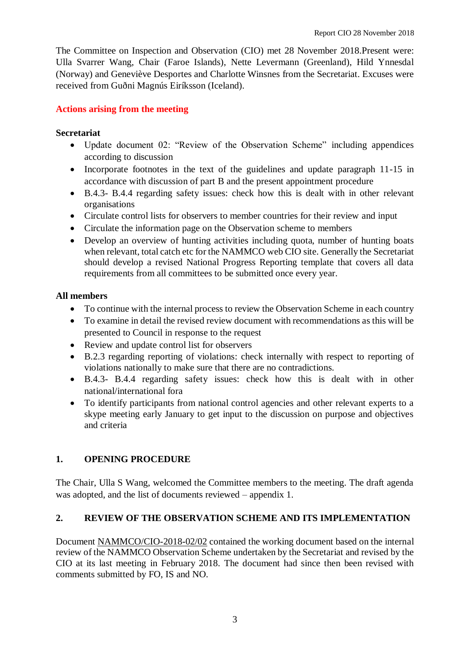The Committee on Inspection and Observation (CIO) met 28 November 2018.Present were: Ulla Svarrer Wang, Chair (Faroe Islands), Nette Levermann (Greenland), Hild Ynnesdal (Norway) and Geneviève Desportes and Charlotte Winsnes from the Secretariat. Excuses were received from Guðni Magnús Eiríksson (Iceland).

#### **Actions arising from the meeting**

#### **Secretariat**

- Update document 02: "Review of the Observation Scheme" including appendices according to discussion
- Incorporate footnotes in the text of the guidelines and update paragraph 11-15 in accordance with discussion of part B and the present appointment procedure
- B.4.3- B.4.4 regarding safety issues: check how this is dealt with in other relevant organisations
- Circulate control lists for observers to member countries for their review and input
- Circulate the information page on the Observation scheme to members
- Develop an overview of hunting activities including quota, number of hunting boats when relevant, total catch etc for the NAMMCO web CIO site. Generally the Secretariat should develop a revised National Progress Reporting template that covers all data requirements from all committees to be submitted once every year.

# **All members**

- To continue with the internal process to review the Observation Scheme in each country
- To examine in detail the revised review document with recommendations as this will be presented to Council in response to the request
- Review and update control list for observers
- B.2.3 regarding reporting of violations: check internally with respect to reporting of violations nationally to make sure that there are no contradictions.
- B.4.3- B.4.4 regarding safety issues: check how this is dealt with in other national/international fora
- To identify participants from national control agencies and other relevant experts to a skype meeting early January to get input to the discussion on purpose and objectives and criteria

# **1. OPENING PROCEDURE**

The Chair, Ulla S Wang, welcomed the Committee members to the meeting. The draft agenda was adopted, and the list of documents reviewed – appendix 1.

# **2. REVIEW OF THE OBSERVATION SCHEME AND ITS IMPLEMENTATION**

Document NAMMCO/CIO-2018-02/02 contained the working document based on the internal review of the NAMMCO Observation Scheme undertaken by the Secretariat and revised by the CIO at its last meeting in February 2018. The document had since then been revised with comments submitted by FO, IS and NO.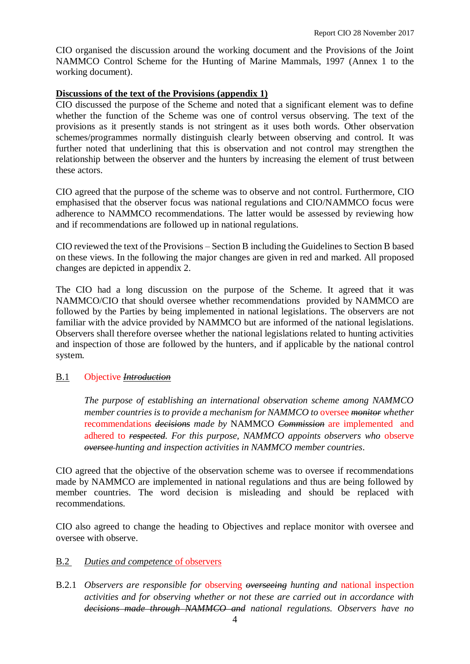CIO organised the discussion around the working document and the Provisions of the Joint NAMMCO Control Scheme for the Hunting of Marine Mammals, 1997 (Annex 1 to the working document).

#### **Discussions of the text of the Provisions (appendix 1)**

CIO discussed the purpose of the Scheme and noted that a significant element was to define whether the function of the Scheme was one of control versus observing. The text of the provisions as it presently stands is not stringent as it uses both words. Other observation schemes/programmes normally distinguish clearly between observing and control. It was further noted that underlining that this is observation and not control may strengthen the relationship between the observer and the hunters by increasing the element of trust between these actors.

CIO agreed that the purpose of the scheme was to observe and not control. Furthermore, CIO emphasised that the observer focus was national regulations and CIO/NAMMCO focus were adherence to NAMMCO recommendations. The latter would be assessed by reviewing how and if recommendations are followed up in national regulations.

CIO reviewed the text of the Provisions – Section B including the Guidelines to Section B based on these views. In the following the major changes are given in red and marked. All proposed changes are depicted in appendix 2.

The CIO had a long discussion on the purpose of the Scheme. It agreed that it was NAMMCO/CIO that should oversee whether recommendations provided by NAMMCO are followed by the Parties by being implemented in national legislations. The observers are not familiar with the advice provided by NAMMCO but are informed of the national legislations. Observers shall therefore oversee whether the national legislations related to hunting activities and inspection of those are followed by the hunters, and if applicable by the national control system.

#### B.1 Objective *Introduction*

*The purpose of establishing an international observation scheme among NAMMCO member countries is to provide a mechanism for NAMMCO to* oversee *monitor whether*  recommendations *decisions made by* NAMMCO *Commission* are implemented and adhered to *respected. For this purpose, NAMMCO appoints observers who* observe *oversee hunting and inspection activities in NAMMCO member countries*.

CIO agreed that the objective of the observation scheme was to oversee if recommendations made by NAMMCO are implemented in national regulations and thus are being followed by member countries. The word decision is misleading and should be replaced with recommendations.

CIO also agreed to change the heading to Objectives and replace monitor with oversee and oversee with observe.

#### B.2 *Duties and competence* of observers

B.2.1 *Observers are responsible for* observing *overseeing hunting and* national inspection *activities and for observing whether or not these are carried out in accordance with decisions made through NAMMCO and national regulations. Observers have no*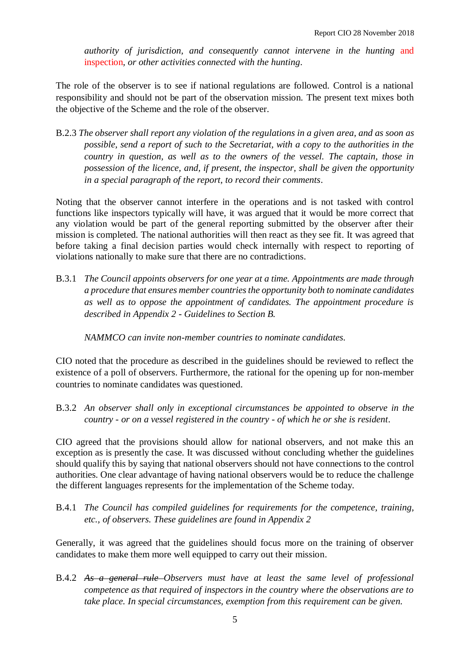*authority of jurisdiction, and consequently cannot intervene in the hunting* and inspection*, or other activities connected with the hunting*.

The role of the observer is to see if national regulations are followed. Control is a national responsibility and should not be part of the observation mission. The present text mixes both the objective of the Scheme and the role of the observer.

B.2.3 *The observer shall report any violation of the regulations in a given area, and as soon as possible, send a report of such to the Secretariat, with a copy to the authorities in the country in question, as well as to the owners of the vessel. The captain, those in possession of the licence, and, if present, the inspector, shall be given the opportunity in a special paragraph of the report, to record their comments*.

Noting that the observer cannot interfere in the operations and is not tasked with control functions like inspectors typically will have, it was argued that it would be more correct that any violation would be part of the general reporting submitted by the observer after their mission is completed. The national authorities will then react as they see fit. It was agreed that before taking a final decision parties would check internally with respect to reporting of violations nationally to make sure that there are no contradictions.

B.3.1 *The Council appoints observers for one year at a time. Appointments are made through a procedure that ensures member countries the opportunity both to nominate candidates as well as to oppose the appointment of candidates. The appointment procedure is described in Appendix 2 - Guidelines to Section B.* 

*NAMMCO can invite non-member countries to nominate candidates.*

CIO noted that the procedure as described in the guidelines should be reviewed to reflect the existence of a poll of observers. Furthermore, the rational for the opening up for non-member countries to nominate candidates was questioned.

B.3.2 *An observer shall only in exceptional circumstances be appointed to observe in the country - or on a vessel registered in the country - of which he or she is resident*.

CIO agreed that the provisions should allow for national observers, and not make this an exception as is presently the case. It was discussed without concluding whether the guidelines should qualify this by saying that national observers should not have connections to the control authorities. One clear advantage of having national observers would be to reduce the challenge the different languages represents for the implementation of the Scheme today.

B.4.1 *The Council has compiled guidelines for requirements for the competence, training, etc., of observers. These guidelines are found in Appendix 2*

Generally, it was agreed that the guidelines should focus more on the training of observer candidates to make them more well equipped to carry out their mission.

B.4.2 As a general rule Observers must have at least the same level of professional *competence as that required of inspectors in the country where the observations are to take place. In special circumstances, exemption from this requirement can be given.*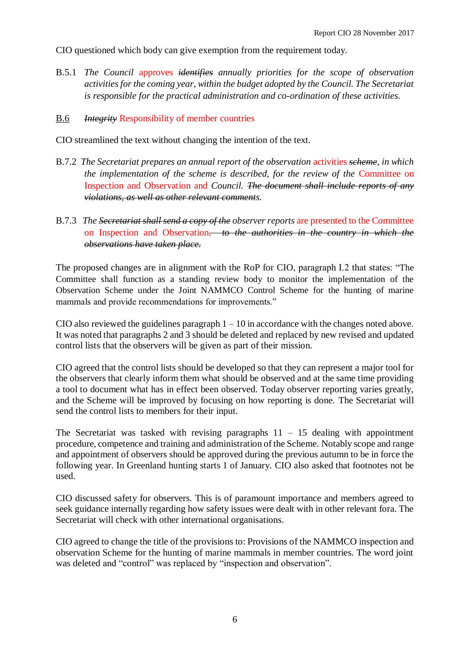CIO questioned which body can give exemption from the requirement today.

B.5.1 *The Council* approves *identifies annually priorities for the scope of observation activities for the coming year, within the budget adopted by the Council. The Secretariat is responsible for the practical administration and co-ordination of these activities.*

#### B.6 *Integrity* Responsibility of member countries

CIO streamlined the text without changing the intention of the text.

- B.7.2 *The Secretariat prepares an annual report of the observation* activities *scheme, in which the implementation of the scheme is described, for the review of the* Committee on Inspection and Observation and *Council. The document shall include reports of any violations, as well as other relevant comments.*
- B.7.3 *The Secretariat shall send a copy of the observer reports* are presented to the Committee on Inspection and Observation*. to the authorities in the country in which the observations have taken place.*

The proposed changes are in alignment with the RoP for CIO, paragraph I.2 that states: "The Committee shall function as a standing review body to monitor the implementation of the Observation Scheme under the Joint NAMMCO Control Scheme for the hunting of marine mammals and provide recommendations for improvements."

CIO also reviewed the guidelines paragraph  $1 - 10$  in accordance with the changes noted above. It was noted that paragraphs 2 and 3 should be deleted and replaced by new revised and updated control lists that the observers will be given as part of their mission.

CIO agreed that the control lists should be developed so that they can represent a major tool for the observers that clearly inform them what should be observed and at the same time providing a tool to document what has in effect been observed. Today observer reporting varies greatly, and the Scheme will be improved by focusing on how reporting is done. The Secretariat will send the control lists to members for their input.

The Secretariat was tasked with revising paragraphs  $11 - 15$  dealing with appointment procedure, competence and training and administration of the Scheme. Notably scope and range and appointment of observers should be approved during the previous autumn to be in force the following year. In Greenland hunting starts 1 of January. CIO also asked that footnotes not be used.

CIO discussed safety for observers. This is of paramount importance and members agreed to seek guidance internally regarding how safety issues were dealt with in other relevant fora. The Secretariat will check with other international organisations.

CIO agreed to change the title of the provisions to: Provisions of the NAMMCO inspection and observation Scheme for the hunting of marine mammals in member countries. The word joint was deleted and "control" was replaced by "inspection and observation".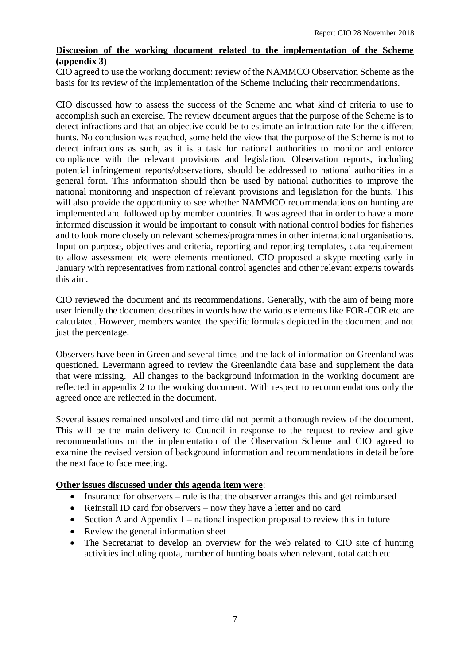# **Discussion of the working document related to the implementation of the Scheme (appendix 3)**

CIO agreed to use the working document: review of the NAMMCO Observation Scheme as the basis for its review of the implementation of the Scheme including their recommendations.

CIO discussed how to assess the success of the Scheme and what kind of criteria to use to accomplish such an exercise. The review document argues that the purpose of the Scheme is to detect infractions and that an objective could be to estimate an infraction rate for the different hunts. No conclusion was reached, some held the view that the purpose of the Scheme is not to detect infractions as such, as it is a task for national authorities to monitor and enforce compliance with the relevant provisions and legislation. Observation reports, including potential infringement reports/observations, should be addressed to national authorities in a general form. This information should then be used by national authorities to improve the national monitoring and inspection of relevant provisions and legislation for the hunts. This will also provide the opportunity to see whether NAMMCO recommendations on hunting are implemented and followed up by member countries. It was agreed that in order to have a more informed discussion it would be important to consult with national control bodies for fisheries and to look more closely on relevant schemes/programmes in other international organisations. Input on purpose, objectives and criteria, reporting and reporting templates, data requirement to allow assessment etc were elements mentioned. CIO proposed a skype meeting early in January with representatives from national control agencies and other relevant experts towards this aim.

CIO reviewed the document and its recommendations. Generally, with the aim of being more user friendly the document describes in words how the various elements like FOR-COR etc are calculated. However, members wanted the specific formulas depicted in the document and not just the percentage.

Observers have been in Greenland several times and the lack of information on Greenland was questioned. Levermann agreed to review the Greenlandic data base and supplement the data that were missing. All changes to the background information in the working document are reflected in appendix 2 to the working document. With respect to recommendations only the agreed once are reflected in the document.

Several issues remained unsolved and time did not permit a thorough review of the document. This will be the main delivery to Council in response to the request to review and give recommendations on the implementation of the Observation Scheme and CIO agreed to examine the revised version of background information and recommendations in detail before the next face to face meeting.

#### **Other issues discussed under this agenda item were**:

- Insurance for observers rule is that the observer arranges this and get reimbursed
- Reinstall ID card for observers now they have a letter and no card
- Section A and Appendix  $1$  national inspection proposal to review this in future
- Review the general information sheet
- The Secretariat to develop an overview for the web related to CIO site of hunting activities including quota, number of hunting boats when relevant, total catch etc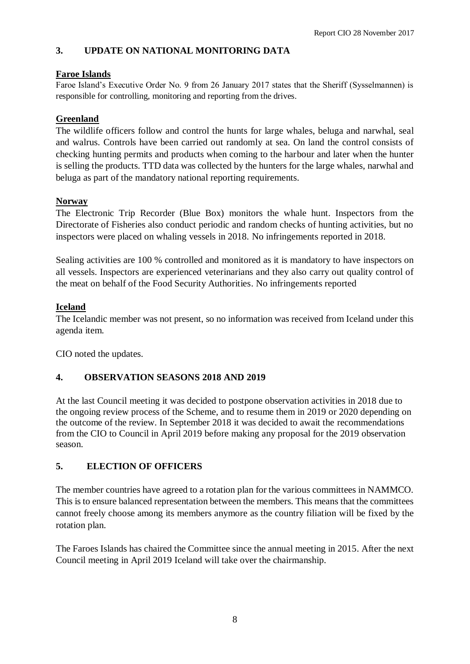# **3. UPDATE ON NATIONAL MONITORING DATA**

#### **Faroe Islands**

Faroe Island's Executive Order No. 9 from 26 January 2017 states that the Sheriff (Sysselmannen) is responsible for controlling, monitoring and reporting from the drives.

# **Greenland**

The wildlife officers follow and control the hunts for large whales, beluga and narwhal, seal and walrus. Controls have been carried out randomly at sea. On land the control consists of checking hunting permits and products when coming to the harbour and later when the hunter is selling the products. TTD data was collected by the hunters for the large whales, narwhal and beluga as part of the mandatory national reporting requirements.

#### **Norway**

The Electronic Trip Recorder (Blue Box) monitors the whale hunt. Inspectors from the Directorate of Fisheries also conduct periodic and random checks of hunting activities, but no inspectors were placed on whaling vessels in 2018. No infringements reported in 2018.

Sealing activities are 100 % controlled and monitored as it is mandatory to have inspectors on all vessels. Inspectors are experienced veterinarians and they also carry out quality control of the meat on behalf of the Food Security Authorities. No infringements reported

#### **Iceland**

The Icelandic member was not present, so no information was received from Iceland under this agenda item.

CIO noted the updates.

# **4. OBSERVATION SEASONS 2018 AND 2019**

At the last Council meeting it was decided to postpone observation activities in 2018 due to the ongoing review process of the Scheme, and to resume them in 2019 or 2020 depending on the outcome of the review. In September 2018 it was decided to await the recommendations from the CIO to Council in April 2019 before making any proposal for the 2019 observation season.

# **5. ELECTION OF OFFICERS**

The member countries have agreed to a rotation plan for the various committees in NAMMCO. This is to ensure balanced representation between the members. This means that the committees cannot freely choose among its members anymore as the country filiation will be fixed by the rotation plan.

The Faroes Islands has chaired the Committee since the annual meeting in 2015. After the next Council meeting in April 2019 Iceland will take over the chairmanship.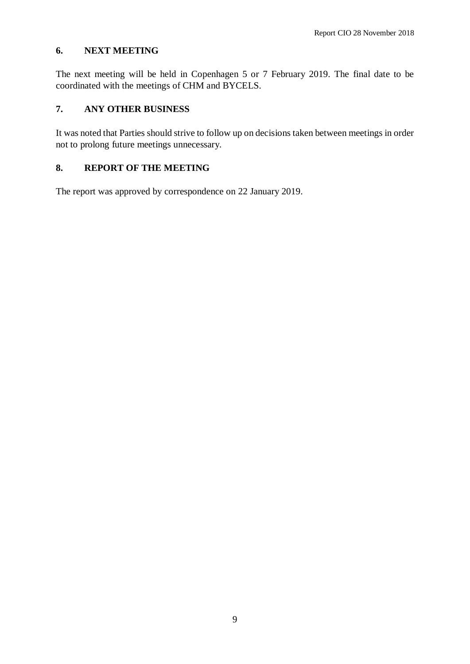#### **6. NEXT MEETING**

The next meeting will be held in Copenhagen 5 or 7 February 2019. The final date to be coordinated with the meetings of CHM and BYCELS.

# **7. ANY OTHER BUSINESS**

It was noted that Parties should strive to follow up on decisions taken between meetings in order not to prolong future meetings unnecessary.

# **8. REPORT OF THE MEETING**

The report was approved by correspondence on 22 January 2019.